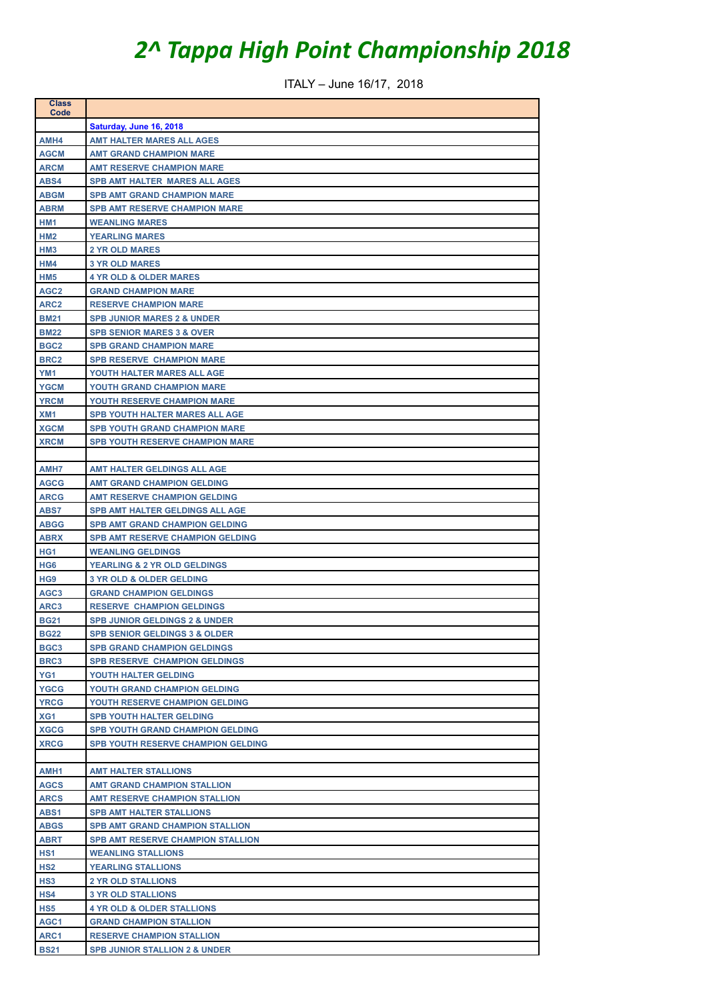## *2^ Tappa High Point Championship 2018*

ITALY – June 16/17, 2018

| <b>Class</b><br>Code       |                                                                            |
|----------------------------|----------------------------------------------------------------------------|
|                            | Saturday, June 16, 2018                                                    |
| AMH4                       | <b>AMT HALTER MARES ALL AGES</b>                                           |
| <b>AGCM</b>                | <b>AMT GRAND CHAMPION MARE</b>                                             |
| <b>ARCM</b>                | <b>AMT RESERVE CHAMPION MARE</b>                                           |
| ABS4                       | <b>SPB AMT HALTER MARES ALL AGES</b>                                       |
| <b>ABGM</b>                | <b>SPB AMT GRAND CHAMPION MARE</b>                                         |
| <b>ABRM</b>                | <b>SPB AMT RESERVE CHAMPION MARE</b>                                       |
| HM1                        | <b>WEANLING MARES</b>                                                      |
| HM <sub>2</sub>            | <b>YEARLING MARES</b>                                                      |
| HM <sub>3</sub>            | <b>2 YR OLD MARES</b>                                                      |
| HM4                        | <b>3 YR OLD MARES</b>                                                      |
| HM <sub>5</sub>            | <b>4 YR OLD &amp; OLDER MARES</b>                                          |
| AGC <sub>2</sub>           | <b>GRAND CHAMPION MARE</b>                                                 |
| ARC <sub>2</sub>           | <b>RESERVE CHAMPION MARE</b>                                               |
| <b>BM21</b>                | <b>SPB JUNIOR MARES 2 &amp; UNDER</b>                                      |
| <b>BM22</b>                | <b>SPB SENIOR MARES 3 &amp; OVER</b>                                       |
| BGC <sub>2</sub>           | <b>SPB GRAND CHAMPION MARE</b>                                             |
| BRC <sub>2</sub>           | <b>SPB RESERVE CHAMPION MARE</b>                                           |
| YM <sub>1</sub>            | YOUTH HALTER MARES ALL AGE                                                 |
| <b>YGCM</b>                | <b>YOUTH GRAND CHAMPION MARE</b>                                           |
| <b>YRCM</b>                | YOUTH RESERVE CHAMPION MARE                                                |
| XM <sub>1</sub>            | <b>SPB YOUTH HALTER MARES ALL AGE</b>                                      |
| <b>XGCM</b>                | <b>SPB YOUTH GRAND CHAMPION MARE</b>                                       |
| <b>XRCM</b>                | <b>SPB YOUTH RESERVE CHAMPION MARE</b>                                     |
|                            |                                                                            |
| AMH7                       | AMT HALTER GELDINGS ALL AGE                                                |
| <b>AGCG</b>                | <b>AMT GRAND CHAMPION GELDING</b>                                          |
| <b>ARCG</b>                | <b>AMT RESERVE CHAMPION GELDING</b>                                        |
| ABS7                       | <b>SPB AMT HALTER GELDINGS ALL AGE</b>                                     |
| <b>ABGG</b>                | <b>SPB AMT GRAND CHAMPION GELDING</b>                                      |
| <b>ABRX</b>                | <b>SPB AMT RESERVE CHAMPION GELDING</b>                                    |
| HG <sub>1</sub>            | <b>WEANLING GELDINGS</b>                                                   |
| HG <sub>6</sub>            | <b>YEARLING &amp; 2 YR OLD GELDINGS</b>                                    |
| HG <sub>9</sub>            | <b>3 YR OLD &amp; OLDER GELDING</b>                                        |
| AGC <sub>3</sub>           | <b>GRAND CHAMPION GELDINGS</b>                                             |
| ARC3                       | <b>RESERVE CHAMPION GELDINGS</b>                                           |
| <b>BG21</b>                | <b>SPB JUNIOR GELDINGS 2 &amp; UNDER</b>                                   |
| <b>BG22</b>                | <b>SPB SENIOR GELDINGS 3 &amp; OLDER</b>                                   |
| BGC <sub>3</sub>           | <b>SPB GRAND CHAMPION GELDINGS</b>                                         |
| BRC3                       | <b>SPB RESERVE CHAMPION GELDINGS</b>                                       |
| YG1                        | YOUTH HALTER GELDING                                                       |
| <b>YGCG</b>                | YOUTH GRAND CHAMPION GELDING                                               |
| <b>YRCG</b>                | YOUTH RESERVE CHAMPION GELDING                                             |
| XG1                        | <b>SPB YOUTH HALTER GELDING</b><br><b>SPB YOUTH GRAND CHAMPION GELDING</b> |
| <b>XGCG</b><br><b>XRCG</b> |                                                                            |
|                            | <b>SPB YOUTH RESERVE CHAMPION GELDING</b>                                  |
| AMH <sub>1</sub>           | <b>AMT HALTER STALLIONS</b>                                                |
| <b>AGCS</b>                | <b>AMT GRAND CHAMPION STALLION</b>                                         |
| <b>ARCS</b>                | <b>AMT RESERVE CHAMPION STALLION</b>                                       |
| ABS1                       | <b>SPB AMT HALTER STALLIONS</b>                                            |
| <b>ABGS</b>                | <b>SPB AMT GRAND CHAMPION STALLION</b>                                     |
| ABRT                       | SPB AMT RESERVE CHAMPION STALLION                                          |
| HS1                        | <b>WEANLING STALLIONS</b>                                                  |
| HS2                        | <b>YEARLING STALLIONS</b>                                                  |
|                            |                                                                            |
| <b>HS3</b>                 | <b>2 YR OLD STALLIONS</b>                                                  |
| HS4                        | <b>3 YR OLD STALLIONS</b>                                                  |
| HS5                        | <b>4 YR OLD &amp; OLDER STALLIONS</b>                                      |
| AGC1                       | <b>GRAND CHAMPION STALLION</b>                                             |
| ARC1                       | <b>RESERVE CHAMPION STALLION</b>                                           |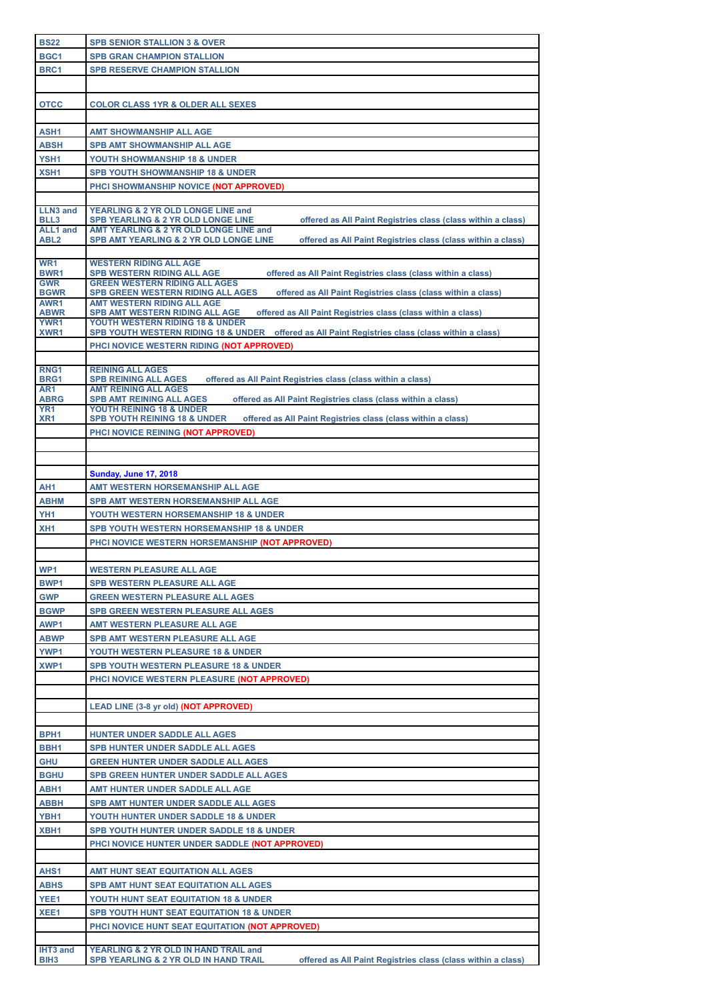| <b>BS22</b>         |                                                                                                                                            |
|---------------------|--------------------------------------------------------------------------------------------------------------------------------------------|
|                     | <b>SPB SENIOR STALLION 3 &amp; OVER</b>                                                                                                    |
| BGC1                | <b>SPB GRAN CHAMPION STALLION</b>                                                                                                          |
| BRC1                | <b>SPB RESERVE CHAMPION STALLION</b>                                                                                                       |
|                     |                                                                                                                                            |
|                     |                                                                                                                                            |
| <b>OTCC</b>         | <b>COLOR CLASS 1YR &amp; OLDER ALL SEXES</b>                                                                                               |
|                     |                                                                                                                                            |
| ASH <sub>1</sub>    | <b>AMT SHOWMANSHIP ALL AGE</b>                                                                                                             |
| <b>ABSH</b>         | <b>SPB AMT SHOWMANSHIP ALL AGE</b>                                                                                                         |
| YSH1                | YOUTH SHOWMANSHIP 18 & UNDER                                                                                                               |
| XSH <sub>1</sub>    | <b>SPB YOUTH SHOWMANSHIP 18 &amp; UNDER</b>                                                                                                |
|                     | PHCI SHOWMANSHIP NOVICE (NOT APPROVED)                                                                                                     |
|                     |                                                                                                                                            |
| <b>LLN3 and</b>     | YEARLING & 2 YR OLD LONGE LINE and                                                                                                         |
| BLL3                | offered as All Paint Registries class (class within a class)<br>SPB YEARLING & 2 YR OLD LONGE LINE                                         |
| <b>ALL1</b> and     | AMT YEARLING & 2 YR OLD LONGE LINE and                                                                                                     |
| ABL <sub>2</sub>    | <b>SPB AMT YEARLING &amp; 2 YR OLD LONGE LINE</b><br>offered as All Paint Registries class (class within a class)                          |
| WR <sub>1</sub>     | <b>WESTERN RIDING ALL AGE</b>                                                                                                              |
| BWR <sub>1</sub>    | <b>SPB WESTERN RIDING ALL AGE</b><br>offered as All Paint Registries class (class within a class)                                          |
| <b>GWR</b>          | <b>GREEN WESTERN RIDING ALL AGES</b>                                                                                                       |
| <b>BGWR</b>         | <b>SPB GREEN WESTERN RIDING ALL AGES</b><br>offered as All Paint Registries class (class within a class)                                   |
| AWR1<br><b>ABWR</b> | <b>AMT WESTERN RIDING ALL AGE</b><br><b>SPB AMT WESTERN RIDING ALL AGE</b><br>offered as All Paint Registries class (class within a class) |
| <b>YWR1</b>         | YOUTH WESTERN RIDING 18 & UNDER                                                                                                            |
| XWR1                | SPB YOUTH WESTERN RIDING 18 & UNDER offered as All Paint Registries class (class within a class)                                           |
|                     | PHCI NOVICE WESTERN RIDING (NOT APPROVED)                                                                                                  |
|                     |                                                                                                                                            |
| RNG <sub>1</sub>    | <b>REINING ALL AGES</b>                                                                                                                    |
| BRG1<br>AR1         | <b>SPB REINING ALL AGES</b><br>offered as All Paint Registries class (class within a class)<br><b>AMT REINING ALL AGES</b>                 |
| <b>ABRG</b>         | <b>SPB AMT REINING ALL AGES</b><br>offered as All Paint Registries class (class within a class)                                            |
| YR <sub>1</sub>     | <b>YOUTH REINING 18 &amp; UNDER</b>                                                                                                        |
| XR <sub>1</sub>     | <b>SPB YOUTH REINING 18 &amp; UNDER</b><br>offered as All Paint Registries class (class within a class)                                    |
|                     | PHCI NOVICE REINING (NOT APPROVED)                                                                                                         |
|                     |                                                                                                                                            |
|                     |                                                                                                                                            |
|                     | <b>Sunday, June 17, 2018</b>                                                                                                               |
| AH1                 | AMT WESTERN HORSEMANSHIP ALL AGE                                                                                                           |
| <b>ABHM</b>         | SPB AMT WESTERN HORSEMANSHIP ALL AGE                                                                                                       |
|                     |                                                                                                                                            |
|                     |                                                                                                                                            |
| YH <sub>1</sub>     | YOUTH WESTERN HORSEMANSHIP 18 & UNDER                                                                                                      |
| XH <sub>1</sub>     | <b>SPB YOUTH WESTERN HORSEMANSHIP 18 &amp; UNDER</b>                                                                                       |
|                     | PHCI NOVICE WESTERN HORSEMANSHIP (NOT APPROVED)                                                                                            |
|                     |                                                                                                                                            |
| WP1                 | <b>WESTERN PLEASURE ALL AGE</b>                                                                                                            |
| BWP <sub>1</sub>    | <b>SPB WESTERN PLEASURE ALL AGE</b>                                                                                                        |
| <b>GWP</b>          | <b>GREEN WESTERN PLEASURE ALL AGES</b>                                                                                                     |
| <b>BGWP</b>         | SPB GREEN WESTERN PLEASURE ALL AGES                                                                                                        |
| AWP1                | <b>AMT WESTERN PLEASURE ALL AGE</b>                                                                                                        |
| <b>ABWP</b>         | <b>SPB AMT WESTERN PLEASURE ALL AGE</b>                                                                                                    |
| YWP1                |                                                                                                                                            |
|                     | YOUTH WESTERN PLEASURE 18 & UNDER                                                                                                          |
| XWP1                | <b>SPB YOUTH WESTERN PLEASURE 18 &amp; UNDER</b>                                                                                           |
|                     | PHCI NOVICE WESTERN PLEASURE (NOT APPROVED)                                                                                                |
|                     |                                                                                                                                            |
|                     | LEAD LINE (3-8 yr old) (NOT APPROVED)                                                                                                      |
|                     |                                                                                                                                            |
| BPH <sub>1</sub>    | <b>HUNTER UNDER SADDLE ALL AGES</b>                                                                                                        |
| BBH1                | <b>SPB HUNTER UNDER SADDLE ALL AGES</b>                                                                                                    |
| <b>GHU</b>          | <b>GREEN HUNTER UNDER SADDLE ALL AGES</b>                                                                                                  |
| <b>BGHU</b>         | <b>SPB GREEN HUNTER UNDER SADDLE ALL AGES</b>                                                                                              |
| ABH1                | AMT HUNTER UNDER SADDLE ALL AGE                                                                                                            |
| <b>ABBH</b>         | <b>SPB AMT HUNTER UNDER SADDLE ALL AGES</b>                                                                                                |
| YBH1                | YOUTH HUNTER UNDER SADDLE 18 & UNDER                                                                                                       |
| XBH1                | SPB YOUTH HUNTER UNDER SADDLE 18 & UNDER                                                                                                   |
|                     |                                                                                                                                            |
|                     | PHCI NOVICE HUNTER UNDER SADDLE (NOT APPROVED)                                                                                             |
|                     |                                                                                                                                            |
| AHS <sub>1</sub>    | AMT HUNT SEAT EQUITATION ALL AGES                                                                                                          |
| <b>ABHS</b>         | <b>SPB AMT HUNT SEAT EQUITATION ALL AGES</b>                                                                                               |
| YEE1                | YOUTH HUNT SEAT EQUITATION 18 & UNDER                                                                                                      |
| XEE1                | <b>SPB YOUTH HUNT SEAT EQUITATION 18 &amp; UNDER</b>                                                                                       |
|                     | PHCI NOVICE HUNT SEAT EQUITATION (NOT APPROVED)                                                                                            |
| IHT3 and            | YEARLING & 2 YR OLD IN HAND TRAIL and                                                                                                      |